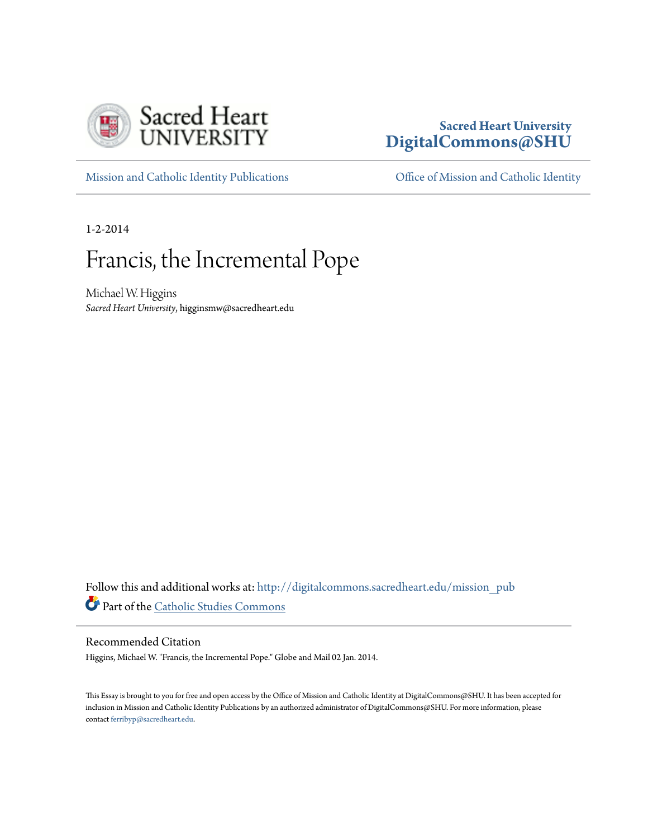

# **Sacred Heart University [DigitalCommons@SHU](http://digitalcommons.sacredheart.edu?utm_source=digitalcommons.sacredheart.edu%2Fmission_pub%2F35&utm_medium=PDF&utm_campaign=PDFCoverPages)**

[Mission and Catholic Identity Publications](http://digitalcommons.sacredheart.edu/mission_pub?utm_source=digitalcommons.sacredheart.edu%2Fmission_pub%2F35&utm_medium=PDF&utm_campaign=PDFCoverPages) [Office of Mission and Catholic Identity](http://digitalcommons.sacredheart.edu/mission?utm_source=digitalcommons.sacredheart.edu%2Fmission_pub%2F35&utm_medium=PDF&utm_campaign=PDFCoverPages)

1-2-2014

# Francis, the Incremental Pope

Michael W. Higgins *Sacred Heart University*, higginsmw@sacredheart.edu

Follow this and additional works at: [http://digitalcommons.sacredheart.edu/mission\\_pub](http://digitalcommons.sacredheart.edu/mission_pub?utm_source=digitalcommons.sacredheart.edu%2Fmission_pub%2F35&utm_medium=PDF&utm_campaign=PDFCoverPages) Part of the [Catholic Studies Commons](http://network.bepress.com/hgg/discipline/1294?utm_source=digitalcommons.sacredheart.edu%2Fmission_pub%2F35&utm_medium=PDF&utm_campaign=PDFCoverPages)

#### Recommended Citation

Higgins, Michael W. "Francis, the Incremental Pope." Globe and Mail 02 Jan. 2014.

This Essay is brought to you for free and open access by the Office of Mission and Catholic Identity at DigitalCommons@SHU. It has been accepted for inclusion in Mission and Catholic Identity Publications by an authorized administrator of DigitalCommons@SHU. For more information, please contact [ferribyp@sacredheart.edu.](mailto:ferribyp@sacredheart.edu)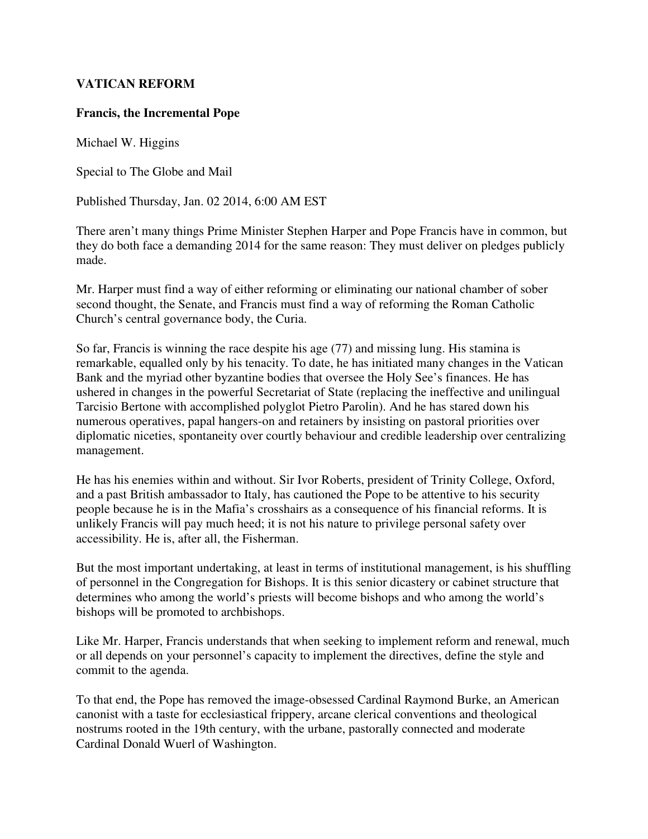## **VATICAN REFORM**

### **Francis, the Incremental Pope**

Michael W. Higgins

Special to The Globe and Mail

Published Thursday, Jan. 02 2014, 6:00 AM EST

There aren't many things Prime Minister Stephen Harper and Pope Francis have in common, but they do both face a demanding 2014 for the same reason: They must deliver on pledges publicly made.

Mr. Harper must find a way of either reforming or eliminating our national chamber of sober second thought, the Senate, and Francis must find a way of reforming the Roman Catholic Church's central governance body, the Curia.

So far, Francis is winning the race despite his age (77) and missing lung. His stamina is remarkable, equalled only by his tenacity. To date, he has initiated many changes in the Vatican Bank and the myriad other byzantine bodies that oversee the Holy See's finances. He has ushered in changes in the powerful Secretariat of State (replacing the ineffective and unilingual Tarcisio Bertone with accomplished polyglot Pietro Parolin). And he has stared down his numerous operatives, papal hangers-on and retainers by insisting on pastoral priorities over diplomatic niceties, spontaneity over courtly behaviour and credible leadership over centralizing management.

He has his enemies within and without. Sir Ivor Roberts, president of Trinity College, Oxford, and a past British ambassador to Italy, has cautioned the Pope to be attentive to his security people because he is in the Mafia's crosshairs as a consequence of his financial reforms. It is unlikely Francis will pay much heed; it is not his nature to privilege personal safety over accessibility. He is, after all, the Fisherman.

But the most important undertaking, at least in terms of institutional management, is his shuffling of personnel in the Congregation for Bishops. It is this senior dicastery or cabinet structure that determines who among the world's priests will become bishops and who among the world's bishops will be promoted to archbishops.

Like Mr. Harper, Francis understands that when seeking to implement reform and renewal, much or all depends on your personnel's capacity to implement the directives, define the style and commit to the agenda.

To that end, the Pope has removed the image-obsessed Cardinal Raymond Burke, an American canonist with a taste for ecclesiastical frippery, arcane clerical conventions and theological nostrums rooted in the 19th century, with the urbane, pastorally connected and moderate Cardinal Donald Wuerl of Washington.